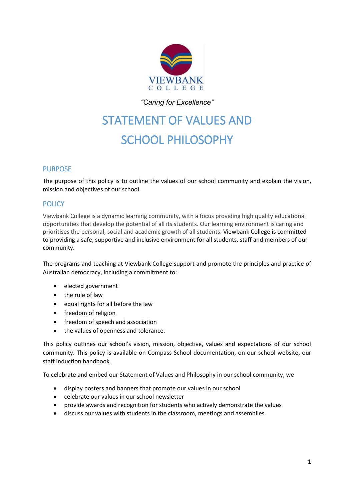

*"Caring for Excellence"*

# STATEMENT OF VALUES AND SCHOOL PHILOSOPHY

# PURPOSE

The purpose of this policy is to outline the values of our school community and explain the vision, mission and objectives of our school.

## **POLICY**

Viewbank College is a dynamic learning community, with a focus providing high quality educational opportunities that develop the potential of all its students. Our learning environment is caring and prioritises the personal, social and academic growth of all students. Viewbank College is committed to providing a safe, supportive and inclusive environment for all students, staff and members of our community.

The programs and teaching at Viewbank College support and promote the principles and practice of Australian democracy, including a commitment to:

- elected government
- the rule of law
- equal rights for all before the law
- freedom of religion
- freedom of speech and association
- the values of openness and tolerance.

This policy outlines our school's vision, mission, objective, values and expectations of our school community. This policy is available on Compass School documentation, on our school website, our staff induction handbook.

To celebrate and embed our Statement of Values and Philosophy in our school community, we

- display posters and banners that promote our values in our school
- celebrate our values in our school newsletter
- provide awards and recognition for students who actively demonstrate the values
- discuss our values with students in the classroom, meetings and assemblies.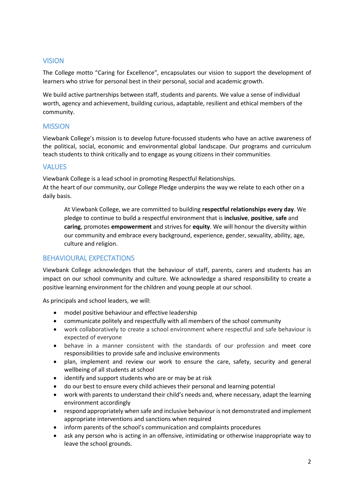## VISION

The College motto "Caring for Excellence", encapsulates our vision to support the development of learners who strive for personal best in their personal, social and academic growth.

We build active partnerships between staff, students and parents. We value a sense of individual worth, agency and achievement, building curious, adaptable, resilient and ethical members of the community.

### **MISSION**

Viewbank College's mission is to develop future-focussed students who have an active awareness of the political, social, economic and environmental global landscape. Our programs and curriculum teach students to think critically and to engage as young citizens in their communities.

## VALUES

Viewbank College is a lead school in promoting Respectful Relationships.

At the heart of our community, our College Pledge underpins the way we relate to each other on a daily basis.

At Viewbank College, we are committed to building **respectful relationships every day**. We pledge to continue to build a respectful environment that is **inclusive**, **positive**, **safe** and **caring**, promotes **empowerment** and strives for **equity**. We will honour the diversity within our community and embrace every background, experience, gender, sexuality, ability, age, culture and religion.

# BEHAVIOURAL EXPECTATIONS

Viewbank College acknowledges that the behaviour of staff, parents, carers and students has an impact on our school community and culture. We acknowledge a shared responsibility to create a positive learning environment for the children and young people at our school.

As principals and school leaders, we will:

- model positive behaviour and effective leadership
- communicate politely and respectfully with all members of the school community
- work collaboratively to create a school environment where respectful and safe behaviour is expected of everyone
- behave in a manner consistent with the standards of our profession and meet core responsibilities to provide safe and inclusive environments
- plan, implement and review our work to ensure the care, safety, security and general wellbeing of all students at school
- identify and support students who are or may be at risk
- do our best to ensure every child achieves their personal and learning potential
- work with parents to understand their child's needs and, where necessary, adapt the learning environment accordingly
- respond appropriately when safe and inclusive behaviour is not demonstrated and implement appropriate interventions and sanctions when required
- inform parents of the school's communication and complaints procedures
- ask any person who is acting in an offensive, intimidating or otherwise inappropriate way to leave the school grounds.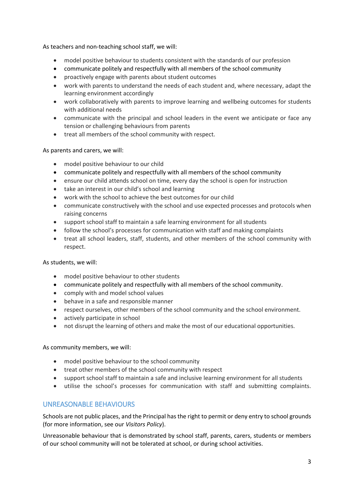As teachers and non-teaching school staff, we will:

- model positive behaviour to students consistent with the standards of our profession
- communicate politely and respectfully with all members of the school community
- proactively engage with parents about student outcomes
- work with parents to understand the needs of each student and, where necessary, adapt the learning environment accordingly
- work collaboratively with parents to improve learning and wellbeing outcomes for students with additional needs
- communicate with the principal and school leaders in the event we anticipate or face any tension or challenging behaviours from parents
- treat all members of the school community with respect.

#### As parents and carers, we will:

- model positive behaviour to our child
- communicate politely and respectfully with all members of the school community
- ensure our child attends school on time, every day the school is open for instruction
- take an interest in our child's school and learning
- work with the school to achieve the best outcomes for our child
- communicate constructively with the school and use expected processes and protocols when raising concerns
- support school staff to maintain a safe learning environment for all students
- follow the school's processes for communication with staff and making complaints
- treat all school leaders, staff, students, and other members of the school community with respect.

#### As students, we will:

- model positive behaviour to other students
- communicate politely and respectfully with all members of the school community.
- comply with and model school values
- behave in a safe and responsible manner
- respect ourselves, other members of the school community and the school environment.
- actively participate in school
- not disrupt the learning of others and make the most of our educational opportunities.

As community members, we will:

- model positive behaviour to the school community
- treat other members of the school community with respect
- support school staff to maintain a safe and inclusive learning environment for all students
- utilise the school's processes for communication with staff and submitting complaints.

#### UNREASONABLE BEHAVIOURS

Schools are not public places, and the Principal hasthe right to permit or deny entry to school grounds (for more information, see our *Visitors Policy*).

Unreasonable behaviour that is demonstrated by school staff, parents, carers, students or members of our school community will not be tolerated at school, or during school activities.